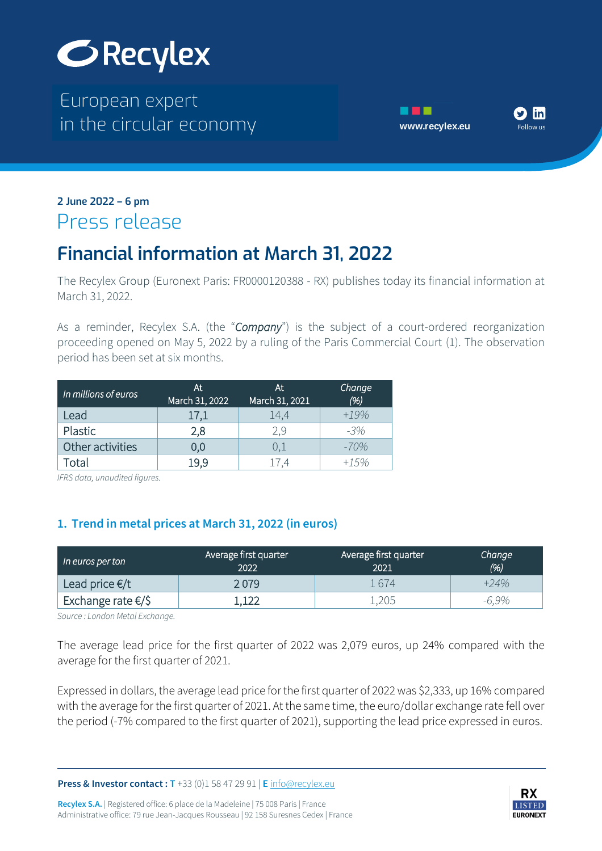

The European expert European expert in the circular economy **[www.recylex.eu](https://www.recylex.eu)** in the circular economy





#### in the circular economy www.recylex.eu **2 June 2022 – 6 pm** Press release

# **Financial information at March 31, 2022**

The Recylex Group (Euronext Paris: FR0000120388 - RX) publishes today its financial information at March 31, 2022.

As a reminder, Recylex S.A. (the "*Company*") is the subject of a court-ordered reorganization proceeding opened on May 5, 2022 by a ruling of the Paris Commercial Court (1). The observation period has been set at six months.

| In millions of euros | At<br>March 31, 2022 | At<br>March 31, 2021 | Change<br>(%) |  |
|----------------------|----------------------|----------------------|---------------|--|
| Lead                 | 17,1                 | 14,4                 | $+19%$        |  |
| Plastic              | 2,8                  | 2.9                  | $-3%$         |  |
| Other activities     | 0.0                  | U.⊥                  | $-70%$        |  |
| Total                | 19.9                 | 174                  | +1.5%         |  |

*IFRS data, unaudited figures.*

#### **1. Trend in metal prices at March 31, 2022 (in euros)**

| In euros per ton             | Average first quarter<br>2022 | Average first quarter<br>2021 | Change<br>(% ) |  |
|------------------------------|-------------------------------|-------------------------------|----------------|--|
| Lead price $\epsilon/t$      | 2 079                         | 1674                          | $+24%$         |  |
| Exchange rate $\epsilon$ /\$ | .122                          | −205.                         | $-6.9\%$       |  |

*Source : London Metal Exchange.*

The average lead price for the first quarter of 2022 was 2,079 euros, up 24% compared with the average for the first quarter of 2021.

Expressed in dollars, the average lead price for the first quarter of 2022 was \$2,333, up 16% compared with the average for the first quarter of 2021. At the same time, the euro/dollar exchange rate fell over the period (-7% compared to the first quarter of 2021), supporting the lead price expressed in euros.

**Press & Investor contact : T** +33 (0)1 58 47 29 91 | **E** [info@recylex.eu](mailto:info@recylex.eu)

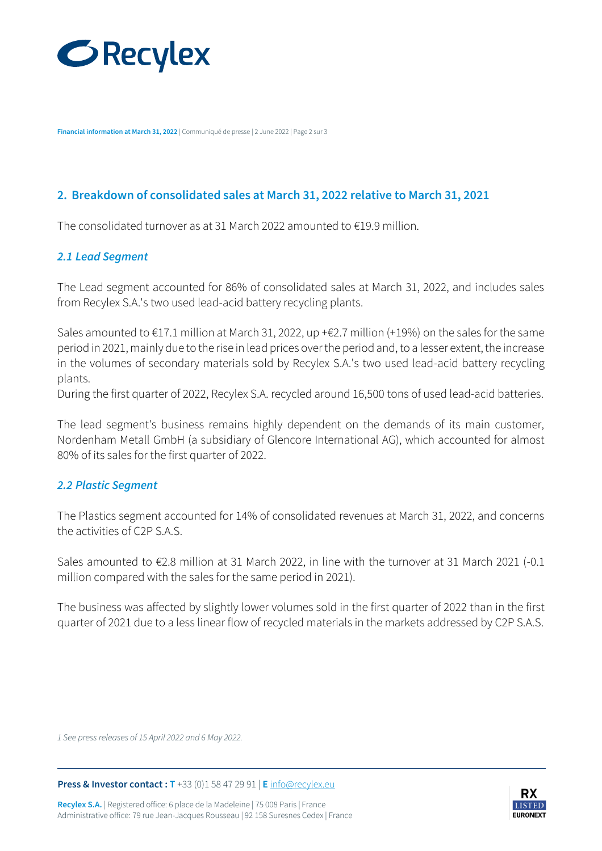

**Financial information at March 31, 2022** | Communiqué de presse | 2 June 2022 | Page 2 sur 3

#### **2. Breakdown of consolidated sales at March 31, 2022 relative to March 31, 2021**

The consolidated turnover as at 31 March 2022 amounted to €19.9 million.

#### *2.1 Lead Segment*

The Lead segment accounted for 86% of consolidated sales at March 31, 2022, and includes sales from Recylex S.A.'s two used lead-acid battery recycling plants.

Sales amounted to €17.1 million at March 31, 2022, up +€2.7 million (+19%) on the sales for the same period in 2021, mainly due to the rise in lead prices over the period and, to a lesser extent, the increase in the volumes of secondary materials sold by Recylex S.A.'s two used lead-acid battery recycling plants.

During the first quarter of 2022, Recylex S.A. recycled around 16,500 tons of used lead-acid batteries.

The lead segment's business remains highly dependent on the demands of its main customer, Nordenham Metall GmbH (a subsidiary of Glencore International AG), which accounted for almost 80% of its sales for the first quarter of 2022.

#### *2.2 Plastic Segment*

The Plastics segment accounted for 14% of consolidated revenues at March 31, 2022, and concerns the activities of C2P S A.S.

Sales amounted to €2.8 million at 31 March 2022, in line with the turnover at 31 March 2021 (-0.1 million compared with the sales for the same period in 2021).

The business was affected by slightly lower volumes sold in the first quarter of 2022 than in the first quarter of 2021 due to a less linear flow of recycled materials in the markets addressed by C2P S.A.S.

*1 See press releases of 15 April 2022 and 6 May 2022.*

**Press & Investor contact : T** +33 (0)1 58 47 29 91 | **E** [info@recylex.eu](mailto:info@recylex.eu)